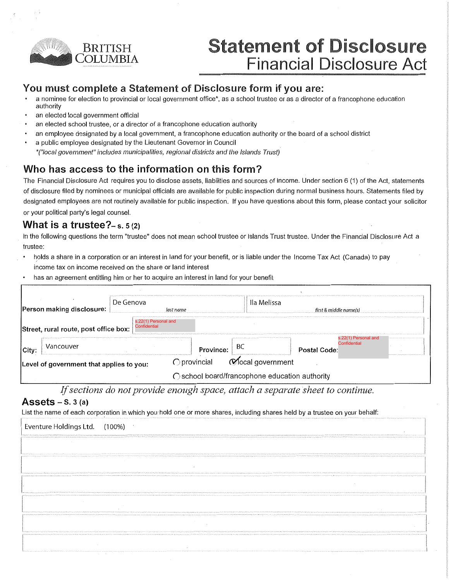

# **Statement of Disclosure Financial Disclosure Act**

## You must complete a Statement of Disclosure form if you are:

- a nominee for election to provincial or local government office\*, as a school trustee or as a director of a francophone education authority
- an elected local government official
- an elected school trustee, or a director of a francophone education authority
- an employee designated by a local government, a francophone education authority or the board of a school district
- a public employee designated by the Lieutenant Governor in Council \*("local government" includes municipalities, regional districts and the Islands Trust)

# Who has access to the information on this form?

The Financial Disclosure Act requires you to disclose assets, liabilities and sources of income. Under section 6 (1) of the Act, statements of disclosure filed by nominees or municipal officials are available for public inspection during normal business hours. Statements filed by designated employees are not routinely available for public inspection. If you have questions about this form, please contact your solicitor or your political party's legal counsel.

### What is a trustee? $-$  s. 5 (2)

In the following questions the term "trustee" does not mean school trustee or Islands Trust trustee. Under the Financial Disclosure Act a trustee:

- holds a share in a corporation or an interest in land for your benefit, or is liable under the Income Tax Act (Canada) to pay income tax on income received on the share or land interest
- has an agreement entitling him or her to acquire an interest in land for your benefit

| De Genova<br><b>Person making disclosure:</b> |                                       |                                      | lla Melissa<br>last name                       |    | first & middle name(s) |                      |  |
|-----------------------------------------------|---------------------------------------|--------------------------------------|------------------------------------------------|----|------------------------|----------------------|--|
|                                               | Street, rural route, post office box: | s.22(1) Personal and<br>Confidential |                                                |    |                        | s.22(1) Personal and |  |
| City                                          | Vancouver                             |                                      | Province:                                      | ВC | Postal Code:           | Confidential         |  |
| Level of government that applies to you:      |                                       | $\bigcirc$ provincial                | Mocal government                               |    |                        |                      |  |
|                                               |                                       |                                      | ◯ school board/francophone education authority |    |                        |                      |  |

If sections do not provide enough space, attach a separate sheet to continue.

### Assets  $-$  S. 3 (a)

List the name of each corporation in which you hold one or more shares, including shares held by a trustee on your behalf:

| Eventure Holdings Ltd. (100%)                                                                                                                                                                                                                                          |
|------------------------------------------------------------------------------------------------------------------------------------------------------------------------------------------------------------------------------------------------------------------------|
| ing and information that the concentration of the component of the concentration of the component of the component of the component of the concentration of the component of the component of the component of the component o                                         |
| $\sim$                                                                                                                                                                                                                                                                 |
| MAX has a company a company and a company and any and a company and a company and a company and a company and a company and a company and a company and a company and a company and a company and a company and a company and                                          |
| $\cdot$                                                                                                                                                                                                                                                                |
| CONTRACTOR AND CONTRACTOR                                                                                                                                                                                                                                              |
|                                                                                                                                                                                                                                                                        |
| NASHALAN CALCON CONTRACTORSED BY AN ORIGINAL CONTRACTORSED AND A CONTRACTORSED AND A CONTRACTORSED AND A CONTRACTORSED AND A CONTRACTORSED AND A CONTRACTORSED AND A CONTRACTORSED AND A CONTRACTORSED AND A CONTRACTORSED AND                                         |
| Announcement of the property control and control and the control and the control and the control and the control and the control and the control and the control and an announcement of the control and the control and the co                                         |
| ALLEY AND A STATE CHARGE CONTACT AND THE CHARGE CONTACT ON THE CONTACT OF A 45 YEAR OLD AND THE CONTACT OF A CHARGE CONTACT OF A STATE OF A STATE OF A STATE OF A STATE OF A STATE OF A STATE OF A STATE OF A STATE OF A STATE                                         |
| <b>Contract Contract</b>                                                                                                                                                                                                                                               |
|                                                                                                                                                                                                                                                                        |
| ARA ARA ARAWAY ARAWAY ARAWAY A TELEVISION ARAWAY ARAWAY ARAWAY ARAWAY A ARAWAY A ARAWAY A ARAWAY A ARAWAY A ARAWAY A ARAWAY A ARAWAY A ARAWAY A ARAWAY A ARAWAY A ARAWAY A ARAWAY A ARAWAY A ARAWAY A ARAWAY A ARAWAY A ARAWAY<br>Light process and comprehensive pro- |
|                                                                                                                                                                                                                                                                        |
|                                                                                                                                                                                                                                                                        |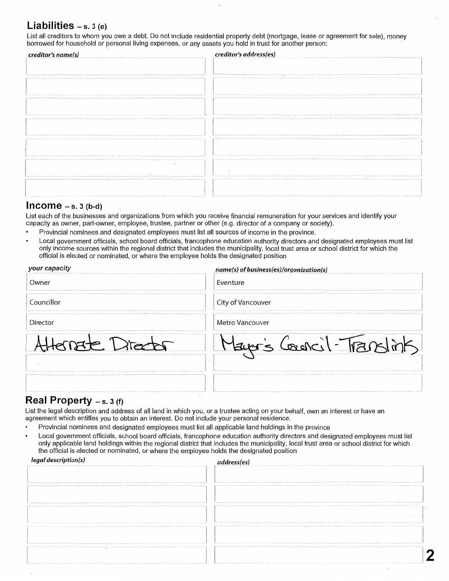### Liabilities  $- s. 3 (e)$

List all creditors to whom you owe a debt. Do not include residential property debt (mortgage, lease or agreement for sale), money borrowed for household or personal living expenses, or any assets you hold in trust for another person:

| creditor's name(s)<br>control of the control                                                                                                                                                                                                                                                                        | creditor's address(es)                                                                                                                                                                                                                                                           |
|---------------------------------------------------------------------------------------------------------------------------------------------------------------------------------------------------------------------------------------------------------------------------------------------------------------------|----------------------------------------------------------------------------------------------------------------------------------------------------------------------------------------------------------------------------------------------------------------------------------|
|                                                                                                                                                                                                                                                                                                                     |                                                                                                                                                                                                                                                                                  |
|                                                                                                                                                                                                                                                                                                                     |                                                                                                                                                                                                                                                                                  |
|                                                                                                                                                                                                                                                                                                                     | <b>Southern Minister</b>                                                                                                                                                                                                                                                         |
|                                                                                                                                                                                                                                                                                                                     |                                                                                                                                                                                                                                                                                  |
|                                                                                                                                                                                                                                                                                                                     |                                                                                                                                                                                                                                                                                  |
|                                                                                                                                                                                                                                                                                                                     |                                                                                                                                                                                                                                                                                  |
| common as "subtracted and an any comparative and and a common commitment as a subsequent of the common determination of a decomparative contracted and                                                                                                                                                              | A RESPONSIBILITY OF THE RECEIVED AND A RESULTED AND RELEASED A RELEASED AND RELEASED TO A RELEASED AND RELEASED AND RELEASED AND RELEASED POSSESSING AND CONTINUES TO ANOTHER AND RELEASED AND RELEASED AND RELEASED AND RELEA                                                   |
|                                                                                                                                                                                                                                                                                                                     | ED PARTICIPAL TELEVISION COMMUNICATION CONTINUES INTO A CONTINUES INTO A CONTINUES INTO A CONTINUES AND A CONTINUES INTO A CONTINUES OF A CONTINUES OF A CONTINUES OF A CONTINUES OF A CONTINUES OF A CONTINUES OF A CONTINUES                                                   |
|                                                                                                                                                                                                                                                                                                                     |                                                                                                                                                                                                                                                                                  |
|                                                                                                                                                                                                                                                                                                                     |                                                                                                                                                                                                                                                                                  |
| - Northern William State Wallenburg and State Contracts in Northern Advertising<br>The Photo State of The State of the Real Party of Leagues and Associated the Contract of State of the State of The State of the State of the State of the State of the State of the State of the State of the State of the Sta   | THE PERMIT HELD FOR THE PRESENTED HER PRODUCTION CONTINUES AND RELEASED AT A RESIDENT AND RELEASED AT A RELEASED AND RELEASED AND RELEASED AND RELEASED AT A 49 YO MALE AND RELEASED AT A 49 YO MALE AND RELEASED AT A 49 YO M<br>$\sim$                                         |
|                                                                                                                                                                                                                                                                                                                     |                                                                                                                                                                                                                                                                                  |
|                                                                                                                                                                                                                                                                                                                     |                                                                                                                                                                                                                                                                                  |
|                                                                                                                                                                                                                                                                                                                     |                                                                                                                                                                                                                                                                                  |
| . The first Only 1979 of the ONE stated film of the ONE (milk only a configuration of the SUC) production of the second term of the construction of the three constructions of the Construction of the Construction of the Con<br><b>Carl Purchase Association</b><br>Ontario Australiano Scholars, Santana Massach | premiers and security                                                                                                                                                                                                                                                            |
|                                                                                                                                                                                                                                                                                                                     |                                                                                                                                                                                                                                                                                  |
| $\sim$                                                                                                                                                                                                                                                                                                              |                                                                                                                                                                                                                                                                                  |
|                                                                                                                                                                                                                                                                                                                     |                                                                                                                                                                                                                                                                                  |
|                                                                                                                                                                                                                                                                                                                     | ada a sua comunicação de contrata da forma o ada forminada a Mitolia interior da comunicação de Mitolia (Mitolia) por emperador por executor                                                                                                                                     |
|                                                                                                                                                                                                                                                                                                                     |                                                                                                                                                                                                                                                                                  |
|                                                                                                                                                                                                                                                                                                                     |                                                                                                                                                                                                                                                                                  |
|                                                                                                                                                                                                                                                                                                                     |                                                                                                                                                                                                                                                                                  |
| mental in die Kalina bekende in der kalina in der kalina med der de bestehten besteht zu der der der den genommen genommen men der eine der men men der an der an der eine der eine der eine der eine der eine der eine der ei                                                                                      | proved more of a subsequent factories as models<br>and an order of the Phart town are recommend on National Address absent that publisher and produced and an order of an and and an individual of an order and a fundamental and an order or a fact of an order or and an order |
|                                                                                                                                                                                                                                                                                                                     |                                                                                                                                                                                                                                                                                  |
|                                                                                                                                                                                                                                                                                                                     |                                                                                                                                                                                                                                                                                  |
|                                                                                                                                                                                                                                                                                                                     |                                                                                                                                                                                                                                                                                  |

### $$

List each of the businesses and organizations from which you receive financial remuneration for your services and identify your capacity as owner, part-owner, employee, trustee, partner or other (e.g. director of a company or society).

- Provincial nominees and designated employees must list all sources of income in the province.
- Local government officials, school board officials, francophone education authority directors and designated employees must list only income sources within the regional district that includes the municipality, local trust area or school district for which the official is elected or nominated, or where the employee holds the designated position

| name(s) of business(es)/organization(s) |
|-----------------------------------------|
| Eventure                                |
| City of Vancouver                       |
| Metro Vancouver                         |
|                                         |
|                                         |

### **Real Property**  $-$  s. 3 (f)

List the legal description and address of all land in which you, or a trustee acting on your behalf, own an interest or have an agreement which entitles you to obtain an interest. Do not include your personal residence.

- Provincial nominees and designated employees must list all applicable land holdings in the province
- Local government officials, school board officials, francophone education authority directors and designated employees must list only applicable land holdings within the regional district that includes the municipality, local trust area or school district for which the official is elected or nominated, or where the employee holds the designated position

| legal description(s)<br>10110 CAR STATE CROSS COMPANY AND RESIDENCE AND AN ARTICLE AND ARRESTS AND CONTRACT COMPANY AND ARRESTS AND ALL CARDS                                                                                                                                                                                                                                                                                                                                                          | address(es)                                                                                                                                                                                                                                                                                                                                                                                                                                                                                                               |
|--------------------------------------------------------------------------------------------------------------------------------------------------------------------------------------------------------------------------------------------------------------------------------------------------------------------------------------------------------------------------------------------------------------------------------------------------------------------------------------------------------|---------------------------------------------------------------------------------------------------------------------------------------------------------------------------------------------------------------------------------------------------------------------------------------------------------------------------------------------------------------------------------------------------------------------------------------------------------------------------------------------------------------------------|
| d'autres ains sé concern en montre en se an mon<br>man compared on the contract and contract and compared to a compared to the compared to the compared to the contract of the contract of the contract of the contract of the contract of the contract of the contract of the co<br>of or or communications and communication as a comparative dealer                                                                                                                                                 | and the most account that contract to the form the more manner mande to owner any set are explaint to be redence as a model warm any policies and any<br>https://www.momentam.mom/motion/confusion-it/an-tomodelected-mediam-mediam-tomoteched-technology/plannegy/plannegy/amery.com/ency-tensor tensors and changes of an interactional property and interactional and analyzing comp                                                                                                                                   |
| Contrado made Constitución em 25 compositores                                                                                                                                                                                                                                                                                                                                                                                                                                                          | be sometime them<br>A management of the contract of the contract of the contract of a constitution of the constitution of the state of the state of the state of the state of the state of the state of the state of the state of the state of the                                                                                                                                                                                                                                                                        |
| and an address from another. From anomen and Wasser's copium Francis Washington William<br>THE REPORTED HER COMMITTEE OF A RESIDENT CONTAINS OF THE ASSESSMENT OF THE CONTAINMENT OF THE COMMITTEE OF THE CONTAINMENT OF THE CONTAINMENT OF THE CONTAINMENT OF THE CONTAINMENT OF THE CONTAINMENT OF THE CONTAINMENT OF T                                                                                                                                                                              | provided the consequent of this distribution of the company of the company of the company of the company of the company of the company of the company of the company of the company of the company of the company of the compa<br>AP TOPONYM AS A ASPORT OF A DOMESTIC OF THE CONTROLL OF A DISTURBANCE OF THE ASTRONOMY OF THE CONTRACT OF THE CONTRACT OF THE CONTRACT OF THE CONTRACT OF THE CONTRACTOR OF THE CONTRACTOR OF THE CONTRACTOR OF THE CONTRACTOR                                                          |
| methods committed to be control at<br>of my sympatry and sympatric study dynamics (in an international communication of a factor of the control of the content of the form of the form of the form of the form of the form of the form of the form of the form of th<br>i e como en como no famílio de contra fan el partido foi nominal a torn a partido en el seguente de como proporciones en la como en el permetento<br>the commence of the state and state a state of the state state and office | parameter can contain a function that contained as to<br>and the company of the company of the company of the company fundamental contracts and decompany as the contracts of a received and the first any official and the first any of the company of the company of the company of t<br>Almost the example in Norman War and production program that is because an ancient amount as an amount of the communication of the absent that the communication of the second of the second of the second of the second of th |
| The model of the individual development contracts and under a setup for the Achiever Calls. Model Achiever Achiever Management Calls<br>of a backbook of a color committee backbook and a local of                                                                                                                                                                                                                                                                                                     | Account there is a new Print as which has been asked to help the<br>of charitable that who be been behavior than an effect than the company of the figure of party of the the state and on the company of the complete that the the the theoretical technical state of the basic of the figure of<br>to a the behindlers remede a million of form of foreign are corrected on our children and a company stabilistic information or property and including the formation of the sheltern                                  |